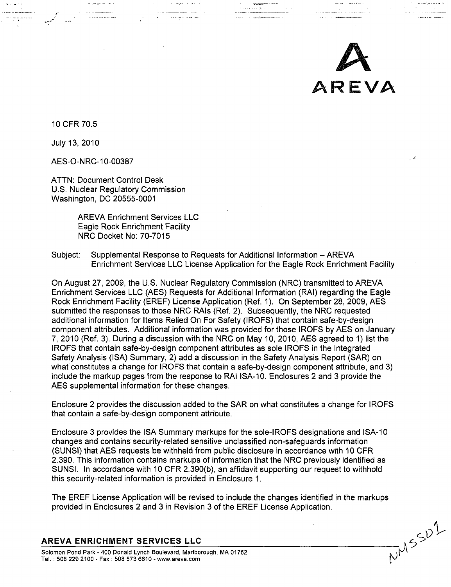

 $W^{1/5}$ 

10 CFR 70.5

July 13, 2010

AES-O-NRC-10-00387

an genga seri se

ATTN: Document Control Desk U.S. Nuclear Regulatory Commission Washington, DC 20555-0001

> AREVA Enrichment Services LLC Eagle Rock Enrichment Facility NRC Docket No: 70-7015

Subject: Supplemental Response to Requests for Additional Information - AREVA Enrichment Services LLC License Application for the Eagle Rock Enrichment Facility

On August 27, 2009, the U.S. Nuclear Regulatory Commission (NRC) transmitted to AREVA Enrichment Services LLC (AES) Requests for Additional Information (RAI) regarding the Eagle Rock Enrichment Facility (EREF) License Application (Ref. 1). On September 28, 2009, AES submitted the responses to those NRC RAIs (Ref. 2). Subsequently, the NRC requested additional information for Items Relied On For Safety (IROFS) that contain safe-by-design component attributes. Additional information was provided for those IROFS by AES on January 7, 2010 (Ref. 3). During a discussion with the NRC on May 10, 2010, AES agreed to 1) list the IROFS that contain safe-by-design component attributes as sole IROFS in the Integrated Safety Analysis (ISA) Summary, 2) add a discussion in the Safety Analysis Report (SAR) on what constitutes a change for IROFS that contain a safe-by-design component attribute, and 3) include the markup pages from the response to RAI ISA-10. Enclosures 2 and 3 provide the AES supplemental information for these changes.

Enclosure 2 provides the discussion added to the SAR on what constitutes a change for IROFS that contain a safe-by-design component attribute.

Enclosure 3 provides the ISA Summary markups for the sole-IROFS designations and ISA-10 changes and contains security-related sensitive unclassified non-safeguards information (SUNSI) that AES requests be withheld from public disclosure in accordance with 10 CFR 2.390. This information contains markups of information that the NRC previously identified as SUNSI. In accordance with 10 CFR 2.390(b), an affidavit supporting our request to withhold this security-related information is provided in Enclosure 1.

The EREF License Application will be revised to include the changes identified in the markups provided in Enclosures 2 and 3 in Revision 3 of the EREF License Application.

## AREVA **ENRICHMENT SERVICES LLC**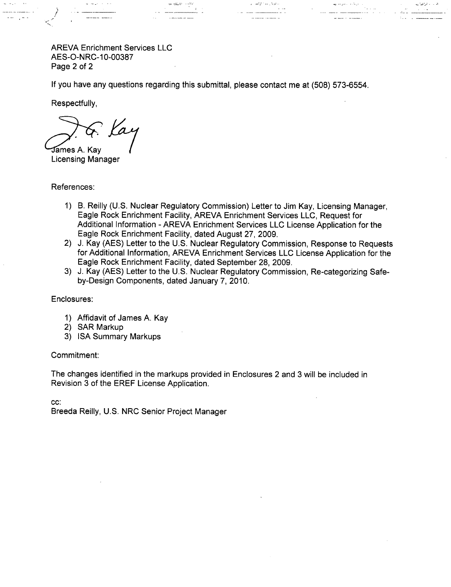AREVA Enrichment Services LLC AES-O-NRC-10-00387 Page 2 of 2

 $\alpha$  , or  $\omega < \beta < \gamma$  , **Alexander Advisor** 

If you have any questions regarding this submittal, please contact me at (508) 573-6554.

Respectfully,

/

 $\omega_{\rm c}$  ,  $\omega_{\rm c}$  ,

Kay ames A. Kay

Licensing Manager

References:

- 1) B. Reilly (U.S. Nuclear Regulatory Commission) Letter to Jim Kay, Licensing Manager, Eagle Rock Enrichment Facility, AREVA Enrichment Services LLC, Request for Additional Information - AREVA Enrichment Services LLC License Application for the Eagle Rock Enrichment Facility, dated August 27, 2009.
- 2) J. Kay (AES) Letter to the U.S. Nuclear Regulatory Commission, Response to Requests for Additional Information, AREVA Enrichment Services LLC License Application for the Eagle Rock Enrichment Facility, dated September 28, 2009.
- 3) J. Kay (AES) Letter to the U.S. Nuclear Regulatory Commission, Re-categorizing Safeby-Design Components, dated January 7, 2010.

Enclosures:

- 1) Affidavit of James A. Kay
- 2) SAR Markup
- 3) ISA Summary Markups

## Commitment:

The changes identified in the markups provided in Enclosures 2 and 3 will be included in Revision 3 of the EREF License Application.

cc:

Breeda Reilly, U.S. NRC Senior Project Manager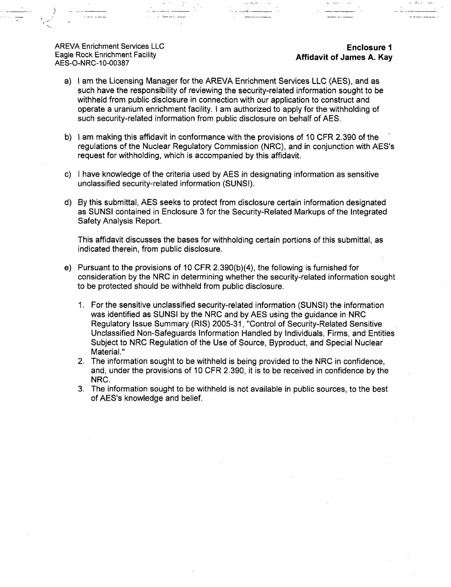AREVA Enrichment Services LLC **Enclosure 1** Eagle Rock Enrichment Facility **Affidavit of James A. Kay** AES-O-NRC-10-00387

a) I am the Licensing Manager for the AREVA Enrichment Services LLC (AES), and as such have the responsibility of reviewing the security-related information sought to be withheld from public disclosure in connection with our application to construct and operate a uranium enrichment facility. I am authorized to apply for the withholding of such security-related information from public disclosure on behalf of AES.

- b) I am making this affidavit in conformance with the provisions of 10 CFR 2.390 of the regulations of the Nuclear Regulatory Commission (NRC), and in conjunction with AES's request for withholding, which is accompanied by this affidavit.
- c) I have knowledge of the criteria used by AES in designating information as sensitive unclassified security-related information (SUNSI).
- d) By this submittal, AES seeks to protect from disclosure certain information designated as SUNSI contained in Enclosure 3 for the Security-Related Markups of the Integrated Safety Analysis Report.

This affidavit discusses the bases for withholding certain portions of this submittal, as indicated therein, from public disclosure.

- e) Pursuant to the provisions of 10 CFR 2.390(b)(4), the following is furnished for consideration by the NRC in determining whether the security-related information sought to be protected should be withheld from public disclosure.
	- 1. For the sensitive unclassified security-related information (SUNSI) the information was identified as SUNSI by the NRC and by AES using the guidance in NRC Regulatory Issue Summary (RIS) 2005-31, "Control of Security-Related Sensitive Unclassified Non-Safeguards Information Handled by Individuals, Firms, and Entities Subject to NRC Regulation of the Use of Source, Byproduct, and Special Nuclear Material."
	- 2. The information sought to be withheld is being provided to the NRC in confidence, and, under the provisions of 10 CFR 2.390, it is to be received in confidence by the NRC.
	- 3. The information sought to be withheld is not available in public sources, to the best of AES's knowledge and belief.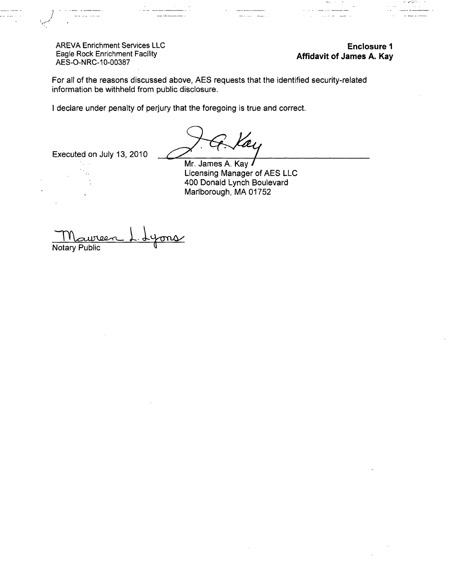AREVA Enrichment Services LLC Eagle Rock Enrichment Facility AES-O-NRC-10-00387

Enclosure **1** Affidavit of James **A.** Kay

للديني

For all of the reasons discussed above, AES requests that the identified security-related information be withheld from public disclosure.

I declare under penalty of perjury that the foregoing is true and correct.

Executed on July 13, 2010

Mr. James A. Kay Licensing Manager of AES LLC 400 Donald Lynch Boulevard Marlborough, MA 01752

Notary Public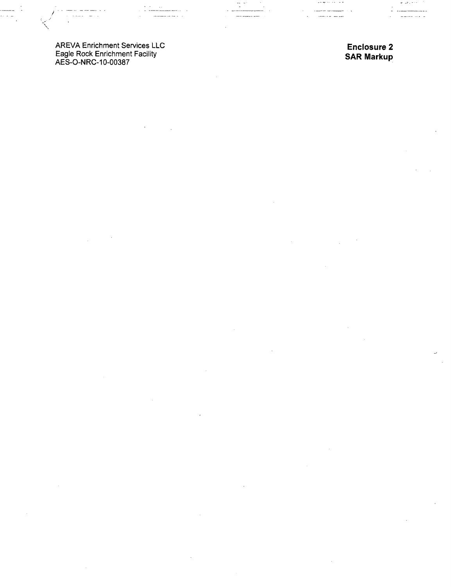AREVA Enrichment Services LLC Eagle Rock Enrichment Facility AES-O-NRC-10-00387

 $\frac{1}{2} \left( \frac{1}{2} \left( \frac{1}{2} \left( \frac{1}{2} \left( \frac{1}{2} \left( \frac{1}{2} \left( \frac{1}{2} \left( \frac{1}{2} \left( \frac{1}{2} \left( \frac{1}{2} \left( \frac{1}{2} \right) \right) - \frac{1}{2} \left( \frac{1}{2} \left( \frac{1}{2} \left( \frac{1}{2} \right) \right) - \frac{1}{2} \left( \frac{1}{2} \left( \frac{1}{2} \left( \frac{1}{2} \right) \right) - \frac{1}{2} \left( \frac{1}{2} \$ 

 $\mathcal{L}$ 

/

Enclosure 2 SAR Markup

 $\sim$   $\sim$ 

للمستدعين ---

لمرتب الأنسان

 $\bar{z}$ 

 $\mathbf{v} = \mathbf{y} \mathbf{y}$  .

........

 $\overline{a}$  $\ddot{\phantom{a}}$ 

 $\mathcal{L}_{\mathcal{A}}$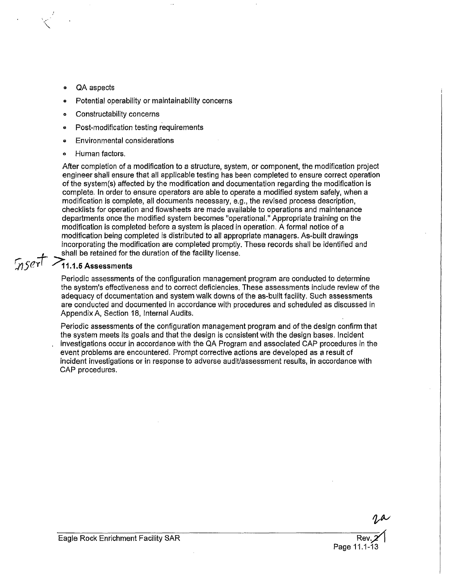**"QA** aspects

**1K**

- Potential operability or maintainability concerns
- **<sup>o</sup>**Constructability concerns
- **o** Post-modification testing requirements
- **Environmental considerations**
- **"** Human factors.

After completion of a modification to a structure, system, or component, the modification project engineer shall ensure that all applicable testing has been completed to ensure correct operation of the system(s) affected **by** the modification and documentation regarding the modification is complete. In order to ensure operators are able to operate a modified system safely, when a modification is complete, all documents necessary, e.g., the revised process description, checklists for operation and floweheets are made available to operations and maintenance departments once the modified system becomes "operational." Appropriate training on the modification is completed before a system is placed in operation. **A** formal notice of a modification being completed is distributed to all appropriate managers. As-built drawings incorporating the modification are completed promptly. These records shall be identified and shall be retained for the duration of the facility license.

# $MSET$   $\geq$  11.1.5 Assessments

Periodic assessments of the configuration management program are conducted to determine the system's effectiveness and to correct deficiencies. These assessments include review of the adequacy of documentation and system walk downs of the as-built facility. Such assessments are conducted and documented in accordance with procedures and scheduled as discussed in Appendix **A,** Section **18,** Internal Audits.

Periodic assessments of the configuration management program and of the design confirm that the system meets its goals and that the design is consistent with the design bases. Incident investigations occur in accordance with the QA Program and associated CAP procedures in the event problems are encountered. Prompt corrective actions are developed as a result of incident investigations or in response to adverse audit/assessment results, in accordance with **CAP** procedures.